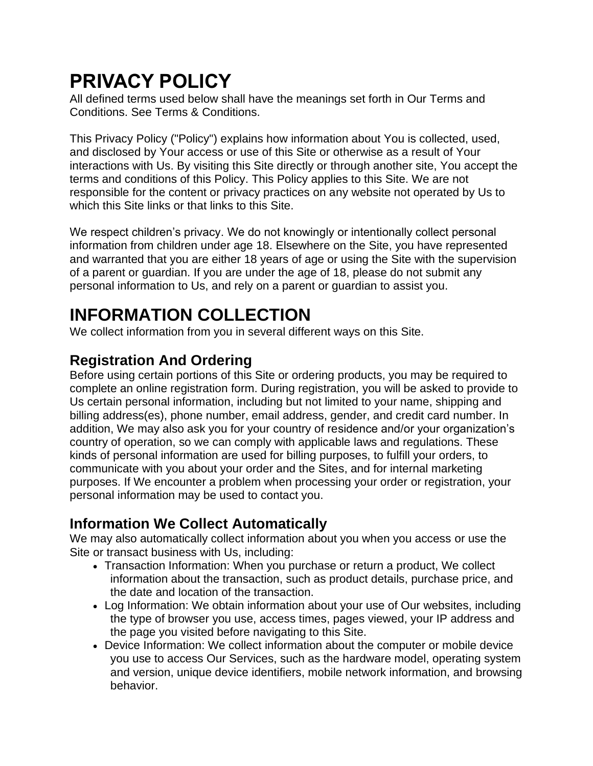# **PRIVACY POLICY**

All defined terms used below shall have the meanings set forth in Our Terms and Conditions. See Terms & Conditions.

This Privacy Policy ("Policy") explains how information about You is collected, used, and disclosed by Your access or use of this Site or otherwise as a result of Your interactions with Us. By visiting this Site directly or through another site, You accept the terms and conditions of this Policy. This Policy applies to this Site. We are not responsible for the content or privacy practices on any website not operated by Us to which this Site links or that links to this Site.

We respect children's privacy. We do not knowingly or intentionally collect personal information from children under age 18. Elsewhere on the Site, you have represented and warranted that you are either 18 years of age or using the Site with the supervision of a parent or guardian. If you are under the age of 18, please do not submit any personal information to Us, and rely on a parent or guardian to assist you.

# **INFORMATION COLLECTION**

We collect information from you in several different ways on this Site.

# **Registration And Ordering**

Before using certain portions of this Site or ordering products, you may be required to complete an online registration form. During registration, you will be asked to provide to Us certain personal information, including but not limited to your name, shipping and billing address(es), phone number, email address, gender, and credit card number. In addition, We may also ask you for your country of residence and/or your organization's country of operation, so we can comply with applicable laws and regulations. These kinds of personal information are used for billing purposes, to fulfill your orders, to communicate with you about your order and the Sites, and for internal marketing purposes. If We encounter a problem when processing your order or registration, your personal information may be used to contact you.

#### **Information We Collect Automatically**

We may also automatically collect information about you when you access or use the Site or transact business with Us, including:

- Transaction Information: When you purchase or return a product, We collect information about the transaction, such as product details, purchase price, and the date and location of the transaction.
- Log Information: We obtain information about your use of Our websites, including the type of browser you use, access times, pages viewed, your IP address and the page you visited before navigating to this Site.
- Device Information: We collect information about the computer or mobile device you use to access Our Services, such as the hardware model, operating system and version, unique device identifiers, mobile network information, and browsing behavior.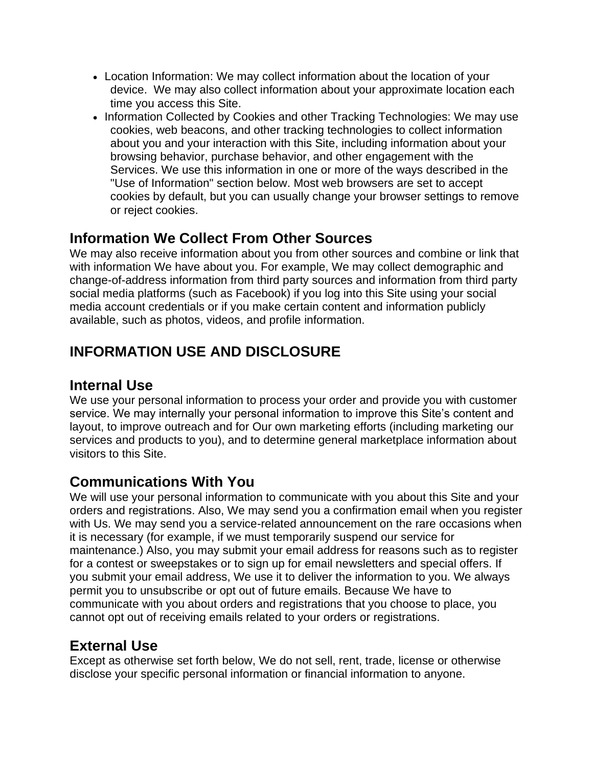- Location Information: We may collect information about the location of your device. We may also collect information about your approximate location each time you access this Site.
- Information Collected by Cookies and other Tracking Technologies: We may use cookies, web beacons, and other tracking technologies to collect information about you and your interaction with this Site, including information about your browsing behavior, purchase behavior, and other engagement with the Services. We use this information in one or more of the ways described in the "Use of Information" section below. Most web browsers are set to accept cookies by default, but you can usually change your browser settings to remove or reject cookies.

#### **Information We Collect From Other Sources**

We may also receive information about you from other sources and combine or link that with information We have about you. For example, We may collect demographic and change-of-address information from third party sources and information from third party social media platforms (such as Facebook) if you log into this Site using your social media account credentials or if you make certain content and information publicly available, such as photos, videos, and profile information.

# **INFORMATION USE AND DISCLOSURE**

#### **Internal Use**

We use your personal information to process your order and provide you with customer service. We may internally your personal information to improve this Site's content and layout, to improve outreach and for Our own marketing efforts (including marketing our services and products to you), and to determine general marketplace information about visitors to this Site.

#### **Communications With You**

We will use your personal information to communicate with you about this Site and your orders and registrations. Also, We may send you a confirmation email when you register with Us. We may send you a service-related announcement on the rare occasions when it is necessary (for example, if we must temporarily suspend our service for maintenance.) Also, you may submit your email address for reasons such as to register for a contest or sweepstakes or to sign up for email newsletters and special offers. If you submit your email address, We use it to deliver the information to you. We always permit you to unsubscribe or opt out of future emails. Because We have to communicate with you about orders and registrations that you choose to place, you cannot opt out of receiving emails related to your orders or registrations.

#### **External Use**

Except as otherwise set forth below, We do not sell, rent, trade, license or otherwise disclose your specific personal information or financial information to anyone.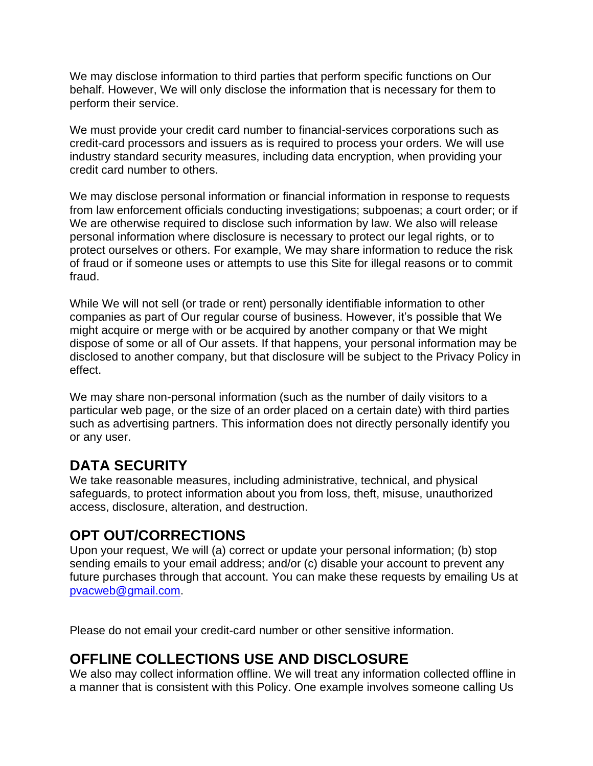We may disclose information to third parties that perform specific functions on Our behalf. However, We will only disclose the information that is necessary for them to perform their service.

We must provide your credit card number to financial-services corporations such as credit-card processors and issuers as is required to process your orders. We will use industry standard security measures, including data encryption, when providing your credit card number to others.

We may disclose personal information or financial information in response to requests from law enforcement officials conducting investigations; subpoenas; a court order; or if We are otherwise required to disclose such information by law. We also will release personal information where disclosure is necessary to protect our legal rights, or to protect ourselves or others. For example, We may share information to reduce the risk of fraud or if someone uses or attempts to use this Site for illegal reasons or to commit fraud.

While We will not sell (or trade or rent) personally identifiable information to other companies as part of Our regular course of business. However, it's possible that We might acquire or merge with or be acquired by another company or that We might dispose of some or all of Our assets. If that happens, your personal information may be disclosed to another company, but that disclosure will be subject to the Privacy Policy in effect.

We may share non-personal information (such as the number of daily visitors to a particular web page, or the size of an order placed on a certain date) with third parties such as advertising partners. This information does not directly personally identify you or any user.

#### **DATA SECURITY**

We take reasonable measures, including administrative, technical, and physical safeguards, to protect information about you from loss, theft, misuse, unauthorized access, disclosure, alteration, and destruction.

#### **OPT OUT/CORRECTIONS**

Upon your request, We will (a) correct or update your personal information; (b) stop sending emails to your email address; and/or (c) disable your account to prevent any future purchases through that account. You can make these requests by emailing Us at [pvacweb@gmail.com.](mailto:pvacweb@gmail.com)

Please do not email your credit-card number or other sensitive information.

# **OFFLINE COLLECTIONS USE AND DISCLOSURE**

We also may collect information offline. We will treat any information collected offline in a manner that is consistent with this Policy. One example involves someone calling Us